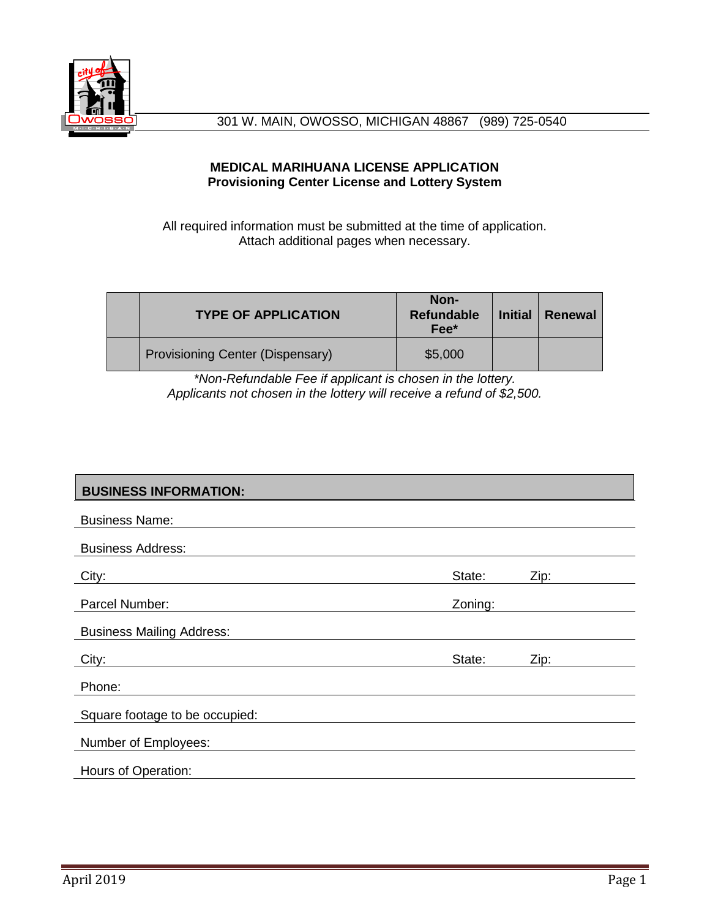

### **MEDICAL MARIHUANA LICENSE APPLICATION Provisioning Center License and Lottery System**

All required information must be submitted at the time of application. Attach additional pages when necessary.

| <b>TYPE OF APPLICATION</b>       | Non-<br><b>Refundable</b><br>Fee* | <b>Initial</b> | Renewal |
|----------------------------------|-----------------------------------|----------------|---------|
| Provisioning Center (Dispensary) | \$5,000                           |                |         |

*\*Non-Refundable Fee if applicant is chosen in the lottery. Applicants not chosen in the lottery will receive a refund of \$2,500.*

## **BUSINESS INFORMATION:**

| <b>Business Name:</b>            |         |      |
|----------------------------------|---------|------|
| <b>Business Address:</b>         |         |      |
| City:                            | State:  | Zip: |
| Parcel Number:                   | Zoning: |      |
| <b>Business Mailing Address:</b> |         |      |
|                                  |         |      |
| City:                            | State:  | Zip: |
| Phone:                           |         |      |
| Square footage to be occupied:   |         |      |
| Number of Employees:             |         |      |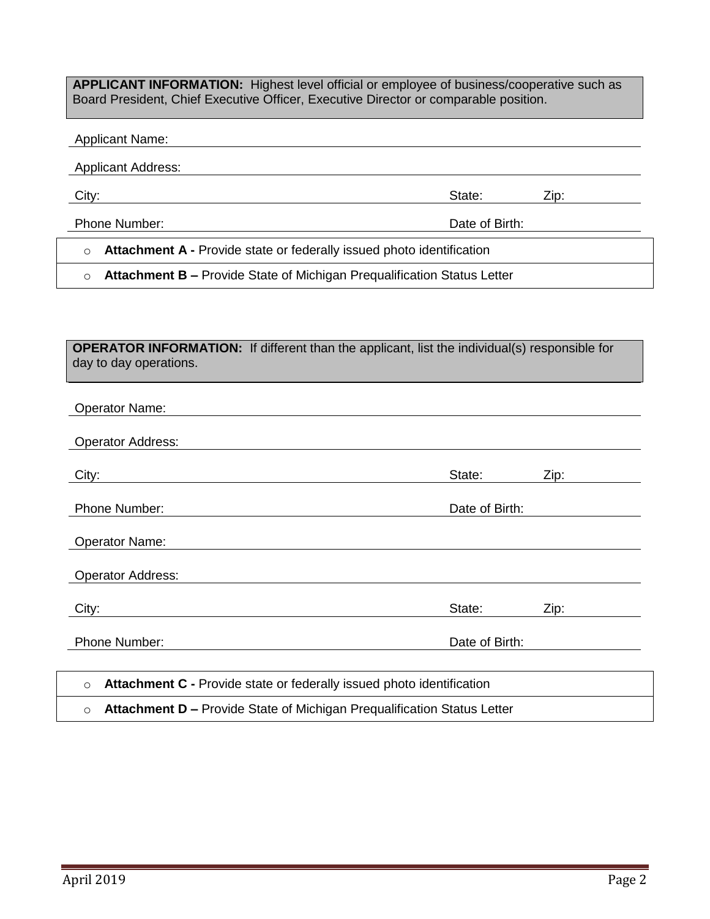**APPLICANT INFORMATION:** Highest level official or employee of business/cooperative such as Board President, Chief Executive Officer, Executive Director or comparable position.

#### Applicant Name:

Applicant Address:

City: State: Zip:

Phone Number: Date of Birth:

o **Attachment A -** Provide state or federally issued photo identification

o **Attachment B –** Provide State of Michigan Prequalification Status Letter

**OPERATOR INFORMATION:** If different than the applicant, list the individual(s) responsible for day to day operations.

| <b>Operator Name:</b>                                                              |                |      |
|------------------------------------------------------------------------------------|----------------|------|
| <b>Operator Address:</b>                                                           |                |      |
| City:                                                                              | State:         | Zip: |
| Phone Number:                                                                      | Date of Birth: |      |
| <b>Operator Name:</b>                                                              |                |      |
| <b>Operator Address:</b>                                                           |                |      |
| City:                                                                              | State:         | Zip: |
| Phone Number:                                                                      | Date of Birth: |      |
|                                                                                    |                |      |
| Attachment C - Provide state or federally issued photo identification<br>$\circ$   |                |      |
| Attachment D - Provide State of Michigan Prequalification Status Letter<br>$\circ$ |                |      |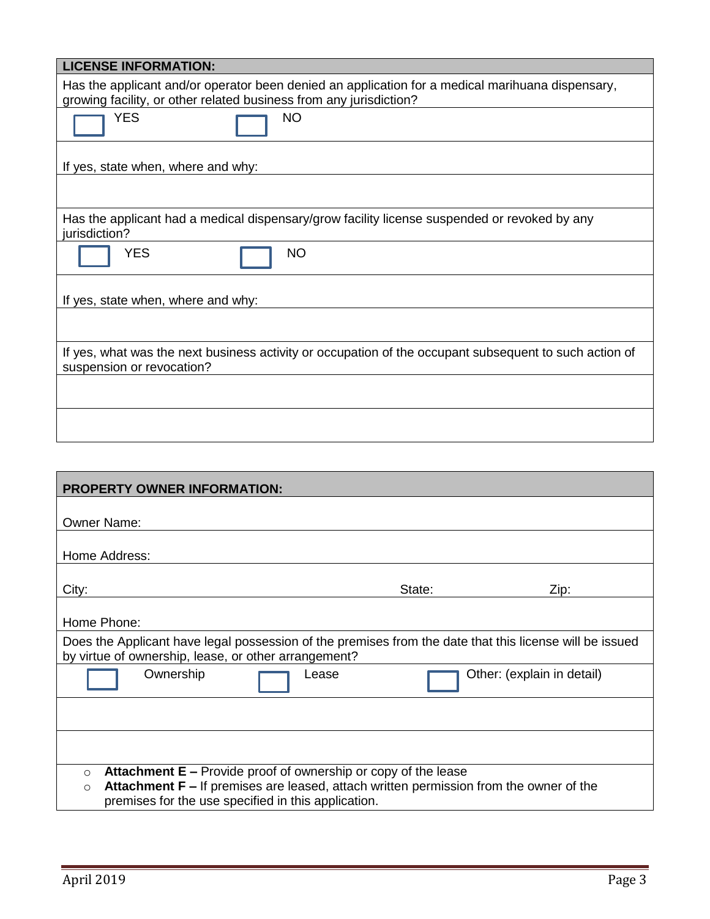| <b>LICENSE INFORMATION:</b>                                                                                                                                            |  |  |  |  |  |
|------------------------------------------------------------------------------------------------------------------------------------------------------------------------|--|--|--|--|--|
| Has the applicant and/or operator been denied an application for a medical marihuana dispensary,<br>growing facility, or other related business from any jurisdiction? |  |  |  |  |  |
| <b>YES</b><br><b>NO</b>                                                                                                                                                |  |  |  |  |  |
| If yes, state when, where and why:                                                                                                                                     |  |  |  |  |  |
|                                                                                                                                                                        |  |  |  |  |  |
| Has the applicant had a medical dispensary/grow facility license suspended or revoked by any<br>jurisdiction?                                                          |  |  |  |  |  |
| <b>YES</b><br><b>NO</b>                                                                                                                                                |  |  |  |  |  |
| If yes, state when, where and why:                                                                                                                                     |  |  |  |  |  |
|                                                                                                                                                                        |  |  |  |  |  |
| If yes, what was the next business activity or occupation of the occupant subsequent to such action of<br>suspension or revocation?                                    |  |  |  |  |  |
|                                                                                                                                                                        |  |  |  |  |  |
|                                                                                                                                                                        |  |  |  |  |  |

| <b>PROPERTY OWNER INFORMATION:</b>                                                                                                                                                                                                            |        |      |  |  |  |
|-----------------------------------------------------------------------------------------------------------------------------------------------------------------------------------------------------------------------------------------------|--------|------|--|--|--|
| <b>Owner Name:</b>                                                                                                                                                                                                                            |        |      |  |  |  |
| Home Address:                                                                                                                                                                                                                                 |        |      |  |  |  |
|                                                                                                                                                                                                                                               |        |      |  |  |  |
| City:                                                                                                                                                                                                                                         | State: | Zip: |  |  |  |
| Home Phone:                                                                                                                                                                                                                                   |        |      |  |  |  |
| Does the Applicant have legal possession of the premises from the date that this license will be issued<br>by virtue of ownership, lease, or other arrangement?                                                                               |        |      |  |  |  |
| Ownership<br>Other: (explain in detail)<br>Lease                                                                                                                                                                                              |        |      |  |  |  |
|                                                                                                                                                                                                                                               |        |      |  |  |  |
|                                                                                                                                                                                                                                               |        |      |  |  |  |
| <b>Attachment E</b> – Provide proof of ownership or copy of the lease<br>$\circ$<br>Attachment F – If premises are leased, attach written permission from the owner of the<br>$\Omega$<br>premises for the use specified in this application. |        |      |  |  |  |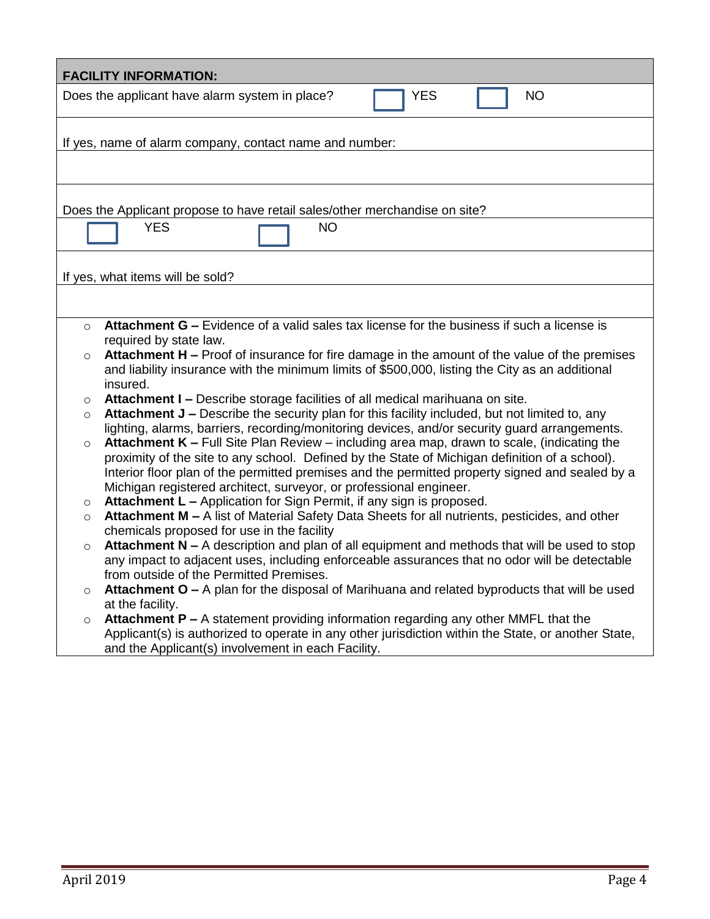| <b>FACILITY INFORMATION:</b>                                                                                                                              |  |  |  |  |  |
|-----------------------------------------------------------------------------------------------------------------------------------------------------------|--|--|--|--|--|
| <b>YES</b><br><b>NO</b><br>Does the applicant have alarm system in place?                                                                                 |  |  |  |  |  |
|                                                                                                                                                           |  |  |  |  |  |
| If yes, name of alarm company, contact name and number:                                                                                                   |  |  |  |  |  |
|                                                                                                                                                           |  |  |  |  |  |
|                                                                                                                                                           |  |  |  |  |  |
| Does the Applicant propose to have retail sales/other merchandise on site?                                                                                |  |  |  |  |  |
| <b>YES</b><br><b>NO</b>                                                                                                                                   |  |  |  |  |  |
| If yes, what items will be sold?                                                                                                                          |  |  |  |  |  |
|                                                                                                                                                           |  |  |  |  |  |
|                                                                                                                                                           |  |  |  |  |  |
| Attachment G – Evidence of a valid sales tax license for the business if such a license is<br>$\Omega$                                                    |  |  |  |  |  |
| required by state law.                                                                                                                                    |  |  |  |  |  |
| Attachment H - Proof of insurance for fire damage in the amount of the value of the premises<br>$\circ$                                                   |  |  |  |  |  |
| and liability insurance with the minimum limits of \$500,000, listing the City as an additional<br>insured.                                               |  |  |  |  |  |
| Attachment I - Describe storage facilities of all medical marihuana on site.<br>O                                                                         |  |  |  |  |  |
| Attachment J - Describe the security plan for this facility included, but not limited to, any<br>$\circ$                                                  |  |  |  |  |  |
| lighting, alarms, barriers, recording/monitoring devices, and/or security guard arrangements.                                                             |  |  |  |  |  |
| <b>Attachment K - Full Site Plan Review - including area map, drawn to scale, (indicating the</b><br>$\circ$                                              |  |  |  |  |  |
| proximity of the site to any school. Defined by the State of Michigan definition of a school).                                                            |  |  |  |  |  |
| Interior floor plan of the permitted premises and the permitted property signed and sealed by a                                                           |  |  |  |  |  |
| Michigan registered architect, surveyor, or professional engineer.<br>Attachment L - Application for Sign Permit, if any sign is proposed.                |  |  |  |  |  |
| O<br>Attachment M - A list of Material Safety Data Sheets for all nutrients, pesticides, and other<br>$\circ$                                             |  |  |  |  |  |
| chemicals proposed for use in the facility                                                                                                                |  |  |  |  |  |
| <b>Attachment N</b> $-$ A description and plan of all equipment and methods that will be used to stop<br>$\circ$                                          |  |  |  |  |  |
| any impact to adjacent uses, including enforceable assurances that no odor will be detectable                                                             |  |  |  |  |  |
| from outside of the Permitted Premises                                                                                                                    |  |  |  |  |  |
| Attachment $O - A$ plan for the disposal of Marihuana and related byproducts that will be used<br>O                                                       |  |  |  |  |  |
| at the facility.                                                                                                                                          |  |  |  |  |  |
| Attachment P - A statement providing information regarding any other MMFL that the<br>O                                                                   |  |  |  |  |  |
| Applicant(s) is authorized to operate in any other jurisdiction within the State, or another State,<br>and the Applicant(s) involvement in each Facility. |  |  |  |  |  |
|                                                                                                                                                           |  |  |  |  |  |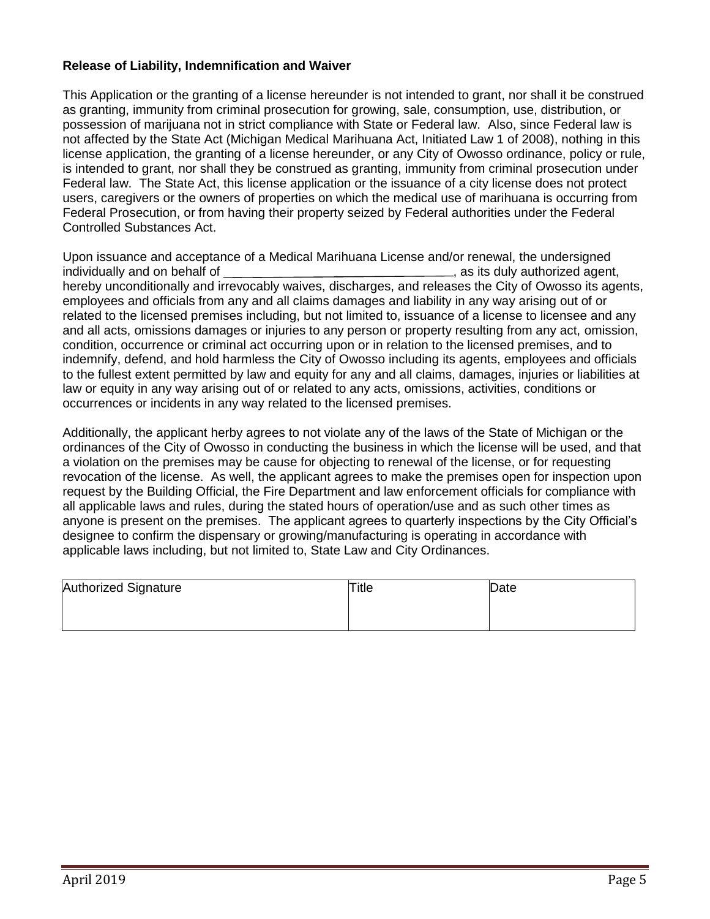#### **Release of Liability, Indemnification and Waiver**

This Application or the granting of a license hereunder is not intended to grant, nor shall it be construed as granting, immunity from criminal prosecution for growing, sale, consumption, use, distribution, or possession of marijuana not in strict compliance with State or Federal law. Also, since Federal law is not affected by the State Act (Michigan Medical Marihuana Act, Initiated Law 1 of 2008), nothing in this license application, the granting of a license hereunder, or any City of Owosso ordinance, policy or rule, is intended to grant, nor shall they be construed as granting, immunity from criminal prosecution under Federal law. The State Act, this license application or the issuance of a city license does not protect users, caregivers or the owners of properties on which the medical use of marihuana is occurring from Federal Prosecution, or from having their property seized by Federal authorities under the Federal Controlled Substances Act.

Upon issuance and acceptance of a Medical Marihuana License and/or renewal, the undersigned individually and on behalf of  $\blacksquare$ , as its duly authorized agent, hereby unconditionally and irrevocably waives, discharges, and releases the City of Owosso its agents, employees and officials from any and all claims damages and liability in any way arising out of or related to the licensed premises including, but not limited to, issuance of a license to licensee and any and all acts, omissions damages or injuries to any person or property resulting from any act, omission, condition, occurrence or criminal act occurring upon or in relation to the licensed premises, and to indemnify, defend, and hold harmless the City of Owosso including its agents, employees and officials to the fullest extent permitted by law and equity for any and all claims, damages, injuries or liabilities at law or equity in any way arising out of or related to any acts, omissions, activities, conditions or occurrences or incidents in any way related to the licensed premises.

Additionally, the applicant herby agrees to not violate any of the laws of the State of Michigan or the ordinances of the City of Owosso in conducting the business in which the license will be used, and that a violation on the premises may be cause for objecting to renewal of the license, or for requesting revocation of the license. As well, the applicant agrees to make the premises open for inspection upon request by the Building Official, the Fire Department and law enforcement officials for compliance with all applicable laws and rules, during the stated hours of operation/use and as such other times as anyone is present on the premises. The applicant agrees to quarterly inspections by the City Official's designee to confirm the dispensary or growing/manufacturing is operating in accordance with applicable laws including, but not limited to, State Law and City Ordinances.

| Authorized Signature | Title | Date |
|----------------------|-------|------|
|                      |       |      |
|                      |       |      |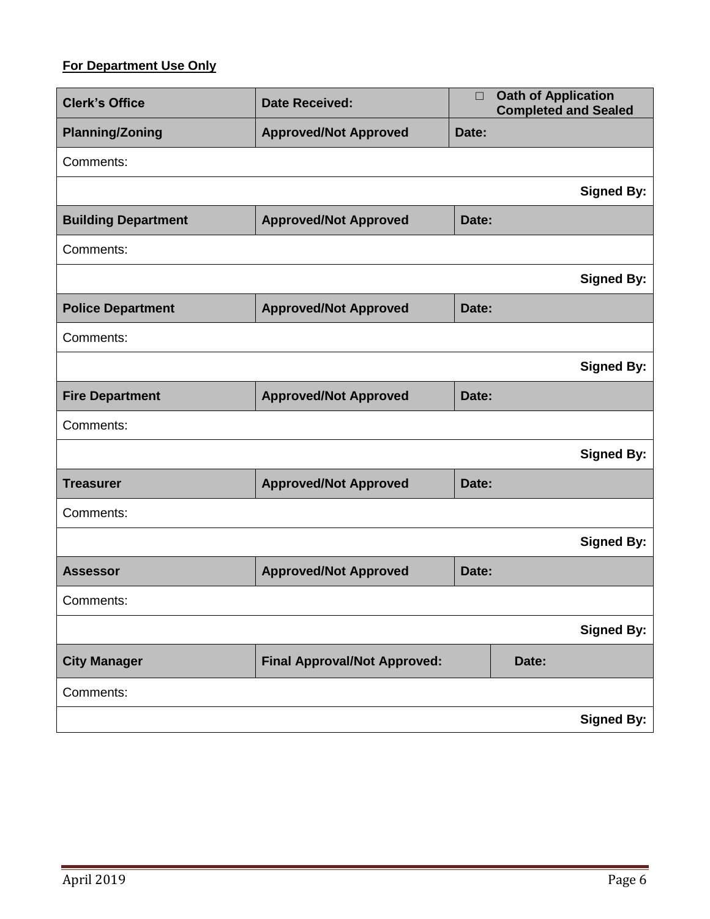# **For Department Use Only**

| <b>Clerk's Office</b><br><b>Date Received:</b> |                                     | $\Box$ | <b>Oath of Application</b><br><b>Completed and Sealed</b> |
|------------------------------------------------|-------------------------------------|--------|-----------------------------------------------------------|
| <b>Planning/Zoning</b>                         | <b>Approved/Not Approved</b>        | Date:  |                                                           |
| Comments:                                      |                                     |        |                                                           |
|                                                |                                     |        | <b>Signed By:</b>                                         |
| <b>Building Department</b>                     | <b>Approved/Not Approved</b>        | Date:  |                                                           |
| Comments:                                      |                                     |        |                                                           |
|                                                |                                     |        | <b>Signed By:</b>                                         |
| <b>Police Department</b>                       | <b>Approved/Not Approved</b>        | Date:  |                                                           |
| Comments:                                      |                                     |        |                                                           |
|                                                |                                     |        | <b>Signed By:</b>                                         |
| <b>Fire Department</b>                         | <b>Approved/Not Approved</b>        | Date:  |                                                           |
| Comments:                                      |                                     |        |                                                           |
|                                                |                                     |        | <b>Signed By:</b>                                         |
| <b>Treasurer</b>                               | <b>Approved/Not Approved</b>        | Date:  |                                                           |
| Comments:                                      |                                     |        |                                                           |
|                                                |                                     |        | <b>Signed By:</b>                                         |
| <b>Assessor</b>                                | <b>Approved/Not Approved</b>        | Date:  |                                                           |
| Comments:                                      |                                     |        |                                                           |
|                                                |                                     |        | <b>Signed By:</b>                                         |
| <b>City Manager</b>                            | <b>Final Approval/Not Approved:</b> |        | Date:                                                     |
| Comments:                                      |                                     |        |                                                           |
|                                                |                                     |        | <b>Signed By:</b>                                         |